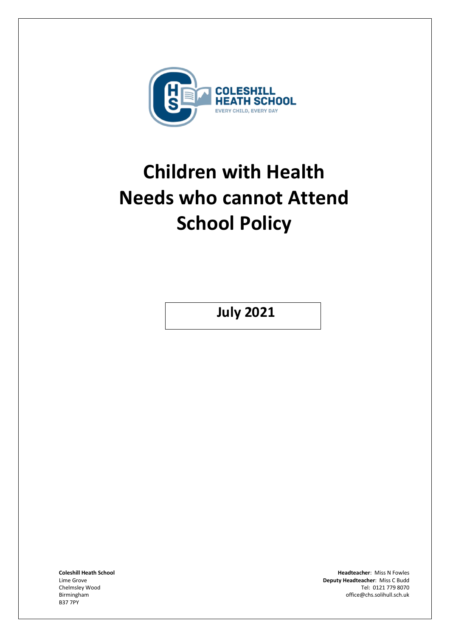

# **Children with Health Needs who cannot Attend School Policy**

**July 2021**

B37 7PY

**Coleshill Heath School Headteacher**: Miss N Fowles Deputy Headteacher: Miss C Budd Chelmsley Wood Tel: 0121 779 8070<br>Birmingham de and the state of the state of the state of the state of the Shane of Tel: 0121 779 8070<br>office@chs.solihull.sch.uk office@chs.solihull.sch.uk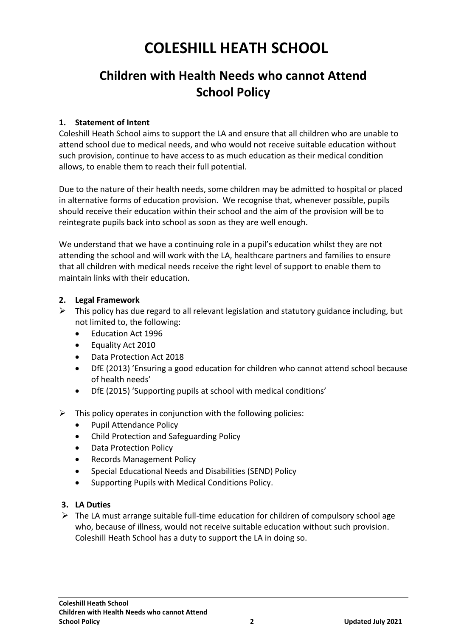## **COLESHILL HEATH SCHOOL**

### **Children with Health Needs who cannot Attend School Policy**

#### **1. Statement of Intent**

Coleshill Heath School aims to support the LA and ensure that all children who are unable to attend school due to medical needs, and who would not receive suitable education without such provision, continue to have access to as much education as their medical condition allows, to enable them to reach their full potential.

Due to the nature of their health needs, some children may be admitted to hospital or placed in alternative forms of education provision. We recognise that, whenever possible, pupils should receive their education within their school and the aim of the provision will be to reintegrate pupils back into school as soon as they are well enough.

We understand that we have a continuing role in a pupil's education whilst they are not attending the school and will work with the LA, healthcare partners and families to ensure that all children with medical needs receive the right level of support to enable them to maintain links with their education.

#### **2. Legal Framework**

- $\triangleright$  This policy has due regard to all relevant legislation and statutory guidance including, but not limited to, the following:
	- Education Act 1996
	- Equality Act 2010
	- Data Protection Act 2018
	- DfE (2013) 'Ensuring a good education for children who cannot attend school because of health needs'
	- DfE (2015) 'Supporting pupils at school with medical conditions'
- $\triangleright$  This policy operates in conjunction with the following policies:
	- Pupil Attendance Policy
	- Child Protection and Safeguarding Policy
	- Data Protection Policy
	- Records Management Policy
	- Special Educational Needs and Disabilities (SEND) Policy
	- Supporting Pupils with Medical Conditions Policy.

#### **3. LA Duties**

 $\triangleright$  The LA must arrange suitable full-time education for children of compulsory school age who, because of illness, would not receive suitable education without such provision. Coleshill Heath School has a duty to support the LA in doing so.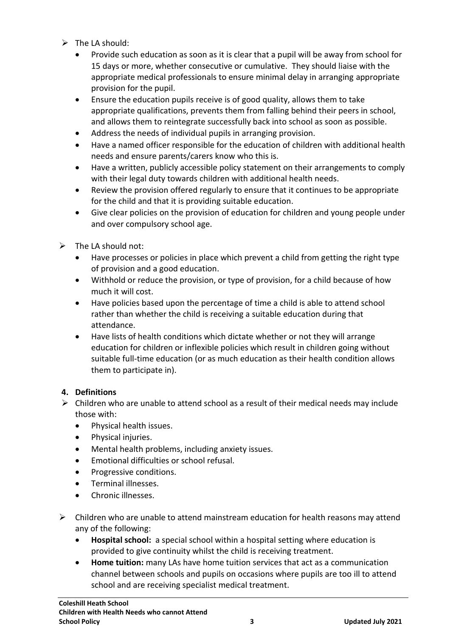- $\triangleright$  The LA should:
	- Provide such education as soon as it is clear that a pupil will be away from school for 15 days or more, whether consecutive or cumulative. They should liaise with the appropriate medical professionals to ensure minimal delay in arranging appropriate provision for the pupil.
	- Ensure the education pupils receive is of good quality, allows them to take appropriate qualifications, prevents them from falling behind their peers in school, and allows them to reintegrate successfully back into school as soon as possible.
	- Address the needs of individual pupils in arranging provision.
	- Have a named officer responsible for the education of children with additional health needs and ensure parents/carers know who this is.
	- Have a written, publicly accessible policy statement on their arrangements to comply with their legal duty towards children with additional health needs.
	- Review the provision offered regularly to ensure that it continues to be appropriate for the child and that it is providing suitable education.
	- Give clear policies on the provision of education for children and young people under and over compulsory school age.
- $\triangleright$  The LA should not:
	- Have processes or policies in place which prevent a child from getting the right type of provision and a good education.
	- Withhold or reduce the provision, or type of provision, for a child because of how much it will cost.
	- Have policies based upon the percentage of time a child is able to attend school rather than whether the child is receiving a suitable education during that attendance.
	- Have lists of health conditions which dictate whether or not they will arrange education for children or inflexible policies which result in children going without suitable full-time education (or as much education as their health condition allows them to participate in).

#### **4. Definitions**

- $\triangleright$  Children who are unable to attend school as a result of their medical needs may include those with:
	- Physical health issues.
	- Physical injuries.
	- Mental health problems, including anxiety issues.
	- Emotional difficulties or school refusal.
	- Progressive conditions.
	- Terminal illnesses.
	- Chronic illnesses.
- $\triangleright$  Children who are unable to attend mainstream education for health reasons may attend any of the following:
	- **Hospital school:** a special school within a hospital setting where education is provided to give continuity whilst the child is receiving treatment.
	- **Home tuition:** many LAs have home tuition services that act as a communication channel between schools and pupils on occasions where pupils are too ill to attend school and are receiving specialist medical treatment.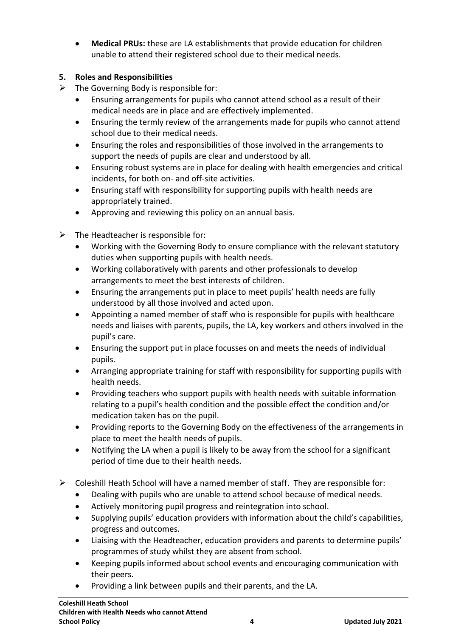**Medical PRUs:** these are LA establishments that provide education for children unable to attend their registered school due to their medical needs.

#### **5. Roles and Responsibilities**

- $\triangleright$  The Governing Body is responsible for:
	- Ensuring arrangements for pupils who cannot attend school as a result of their medical needs are in place and are effectively implemented.
	- Ensuring the termly review of the arrangements made for pupils who cannot attend school due to their medical needs.
	- Ensuring the roles and responsibilities of those involved in the arrangements to support the needs of pupils are clear and understood by all.
	- Ensuring robust systems are in place for dealing with health emergencies and critical incidents, for both on- and off-site activities.
	- Ensuring staff with responsibility for supporting pupils with health needs are appropriately trained.
	- Approving and reviewing this policy on an annual basis.
- $\triangleright$  The Headteacher is responsible for:
	- Working with the Governing Body to ensure compliance with the relevant statutory duties when supporting pupils with health needs.
	- Working collaboratively with parents and other professionals to develop arrangements to meet the best interests of children.
	- Ensuring the arrangements put in place to meet pupils' health needs are fully understood by all those involved and acted upon.
	- Appointing a named member of staff who is responsible for pupils with healthcare needs and liaises with parents, pupils, the LA, key workers and others involved in the pupil's care.
	- Ensuring the support put in place focusses on and meets the needs of individual pupils.
	- Arranging appropriate training for staff with responsibility for supporting pupils with health needs.
	- Providing teachers who support pupils with health needs with suitable information relating to a pupil's health condition and the possible effect the condition and/or medication taken has on the pupil.
	- Providing reports to the Governing Body on the effectiveness of the arrangements in place to meet the health needs of pupils.
	- Notifying the LA when a pupil is likely to be away from the school for a significant period of time due to their health needs.
- $\triangleright$  Coleshill Heath School will have a named member of staff. They are responsible for:
	- Dealing with pupils who are unable to attend school because of medical needs.
	- Actively monitoring pupil progress and reintegration into school.
	- Supplying pupils' education providers with information about the child's capabilities, progress and outcomes.
	- Liaising with the Headteacher, education providers and parents to determine pupils' programmes of study whilst they are absent from school.
	- Keeping pupils informed about school events and encouraging communication with their peers.
	- Providing a link between pupils and their parents, and the LA.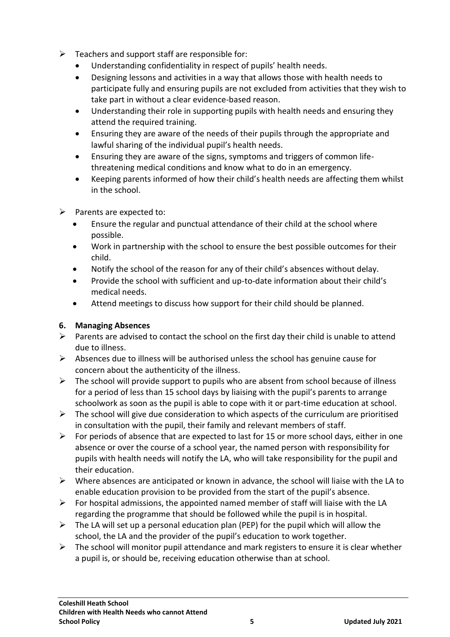- $\triangleright$  Teachers and support staff are responsible for:
	- Understanding confidentiality in respect of pupils' health needs.
	- Designing lessons and activities in a way that allows those with health needs to participate fully and ensuring pupils are not excluded from activities that they wish to take part in without a clear evidence-based reason.
	- Understanding their role in supporting pupils with health needs and ensuring they attend the required training.
	- Ensuring they are aware of the needs of their pupils through the appropriate and lawful sharing of the individual pupil's health needs.
	- Ensuring they are aware of the signs, symptoms and triggers of common lifethreatening medical conditions and know what to do in an emergency.
	- Keeping parents informed of how their child's health needs are affecting them whilst in the school.
- $\triangleright$  Parents are expected to:
	- Ensure the regular and punctual attendance of their child at the school where possible.
	- Work in partnership with the school to ensure the best possible outcomes for their child.
	- Notify the school of the reason for any of their child's absences without delay.
	- Provide the school with sufficient and up-to-date information about their child's medical needs.
	- Attend meetings to discuss how support for their child should be planned.

#### **6. Managing Absences**

- $\triangleright$  Parents are advised to contact the school on the first day their child is unable to attend due to illness.
- $\triangleright$  Absences due to illness will be authorised unless the school has genuine cause for concern about the authenticity of the illness.
- $\triangleright$  The school will provide support to pupils who are absent from school because of illness for a period of less than 15 school days by liaising with the pupil's parents to arrange schoolwork as soon as the pupil is able to cope with it or part-time education at school.
- $\triangleright$  The school will give due consideration to which aspects of the curriculum are prioritised in consultation with the pupil, their family and relevant members of staff.
- $\triangleright$  For periods of absence that are expected to last for 15 or more school days, either in one absence or over the course of a school year, the named person with responsibility for pupils with health needs will notify the LA, who will take responsibility for the pupil and their education.
- $\triangleright$  Where absences are anticipated or known in advance, the school will liaise with the LA to enable education provision to be provided from the start of the pupil's absence.
- $\triangleright$  For hospital admissions, the appointed named member of staff will liaise with the LA regarding the programme that should be followed while the pupil is in hospital.
- $\triangleright$  The LA will set up a personal education plan (PEP) for the pupil which will allow the school, the LA and the provider of the pupil's education to work together.
- $\triangleright$  The school will monitor pupil attendance and mark registers to ensure it is clear whether a pupil is, or should be, receiving education otherwise than at school.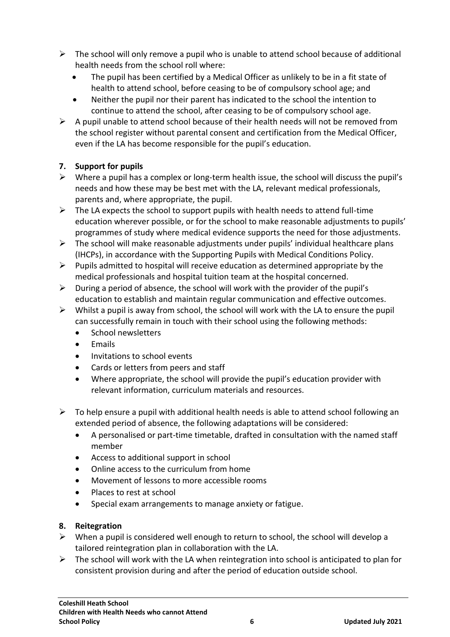- $\triangleright$  The school will only remove a pupil who is unable to attend school because of additional health needs from the school roll where:
	- The pupil has been certified by a Medical Officer as unlikely to be in a fit state of health to attend school, before ceasing to be of compulsory school age; and
	- Neither the pupil nor their parent has indicated to the school the intention to continue to attend the school, after ceasing to be of compulsory school age.
- $\triangleright$  A pupil unable to attend school because of their health needs will not be removed from the school register without parental consent and certification from the Medical Officer, even if the LA has become responsible for the pupil's education.

#### **7. Support for pupils**

- $\triangleright$  Where a pupil has a complex or long-term health issue, the school will discuss the pupil's needs and how these may be best met with the LA, relevant medical professionals, parents and, where appropriate, the pupil.
- $\triangleright$  The LA expects the school to support pupils with health needs to attend full-time education wherever possible, or for the school to make reasonable adjustments to pupils' programmes of study where medical evidence supports the need for those adjustments.
- $\triangleright$  The school will make reasonable adjustments under pupils' individual healthcare plans (IHCPs), in accordance with the Supporting Pupils with Medical Conditions Policy.
- $\triangleright$  Pupils admitted to hospital will receive education as determined appropriate by the medical professionals and hospital tuition team at the hospital concerned.
- $\triangleright$  During a period of absence, the school will work with the provider of the pupil's education to establish and maintain regular communication and effective outcomes.
- $\triangleright$  Whilst a pupil is away from school, the school will work with the LA to ensure the pupil can successfully remain in touch with their school using the following methods:
	- School newsletters
	- Emails
	- Invitations to school events
	- Cards or letters from peers and staff
	- Where appropriate, the school will provide the pupil's education provider with relevant information, curriculum materials and resources.
- $\triangleright$  To help ensure a pupil with additional health needs is able to attend school following an extended period of absence, the following adaptations will be considered:
	- A personalised or part-time timetable, drafted in consultation with the named staff member
	- Access to additional support in school
	- Online access to the curriculum from home
	- Movement of lessons to more accessible rooms
	- Places to rest at school
	- Special exam arrangements to manage anxiety or fatigue.

#### **8. Reitegration**

- $\triangleright$  When a pupil is considered well enough to return to school, the school will develop a tailored reintegration plan in collaboration with the LA.
- $\triangleright$  The school will work with the LA when reintegration into school is anticipated to plan for consistent provision during and after the period of education outside school.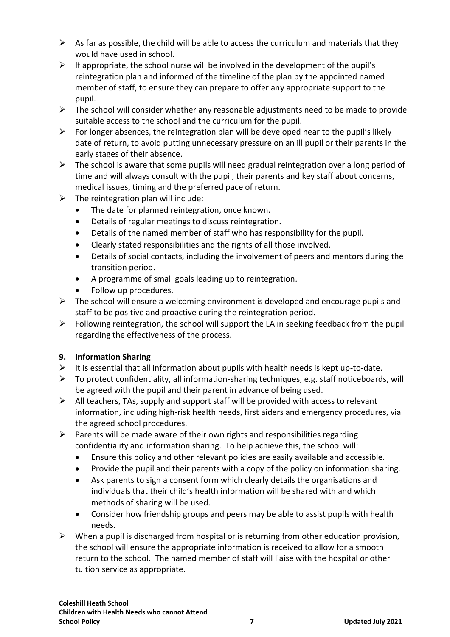- $\triangleright$  As far as possible, the child will be able to access the curriculum and materials that they would have used in school.
- $\triangleright$  If appropriate, the school nurse will be involved in the development of the pupil's reintegration plan and informed of the timeline of the plan by the appointed named member of staff, to ensure they can prepare to offer any appropriate support to the pupil.
- $\triangleright$  The school will consider whether any reasonable adjustments need to be made to provide suitable access to the school and the curriculum for the pupil.
- $\triangleright$  For longer absences, the reintegration plan will be developed near to the pupil's likely date of return, to avoid putting unnecessary pressure on an ill pupil or their parents in the early stages of their absence.
- $\triangleright$  The school is aware that some pupils will need gradual reintegration over a long period of time and will always consult with the pupil, their parents and key staff about concerns, medical issues, timing and the preferred pace of return.
- $\triangleright$  The reintegration plan will include:
	- The date for planned reintegration, once known.
	- Details of regular meetings to discuss reintegration.
	- Details of the named member of staff who has responsibility for the pupil.
	- Clearly stated responsibilities and the rights of all those involved.
	- Details of social contacts, including the involvement of peers and mentors during the transition period.
	- A programme of small goals leading up to reintegration.
	- Follow up procedures.
- $\triangleright$  The school will ensure a welcoming environment is developed and encourage pupils and staff to be positive and proactive during the reintegration period.
- $\triangleright$  Following reintegration, the school will support the LA in seeking feedback from the pupil regarding the effectiveness of the process.

#### **9. Information Sharing**

- $\triangleright$  It is essential that all information about pupils with health needs is kept up-to-date.
- $\triangleright$  To protect confidentiality, all information-sharing techniques, e.g. staff noticeboards, will be agreed with the pupil and their parent in advance of being used.
- $\triangleright$  All teachers, TAs, supply and support staff will be provided with access to relevant information, including high-risk health needs, first aiders and emergency procedures, via the agreed school procedures.
- $\triangleright$  Parents will be made aware of their own rights and responsibilities regarding confidentiality and information sharing. To help achieve this, the school will:
	- Ensure this policy and other relevant policies are easily available and accessible.
	- Provide the pupil and their parents with a copy of the policy on information sharing.
	- Ask parents to sign a consent form which clearly details the organisations and individuals that their child's health information will be shared with and which methods of sharing will be used.
	- Consider how friendship groups and peers may be able to assist pupils with health needs.
- $\triangleright$  When a pupil is discharged from hospital or is returning from other education provision, the school will ensure the appropriate information is received to allow for a smooth return to the school. The named member of staff will liaise with the hospital or other tuition service as appropriate.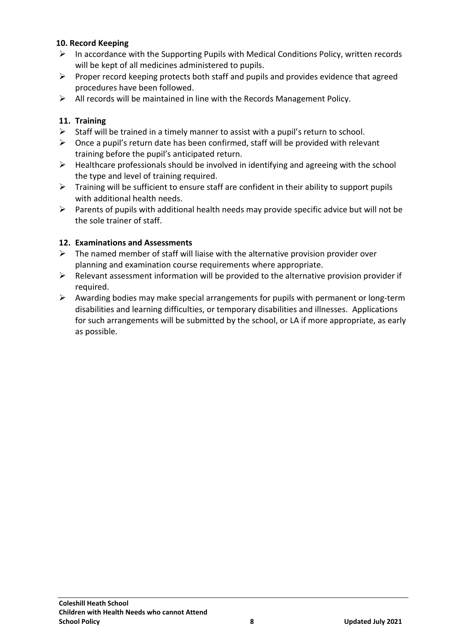#### **10. Record Keeping**

- $\triangleright$  In accordance with the Supporting Pupils with Medical Conditions Policy, written records will be kept of all medicines administered to pupils.
- $\triangleright$  Proper record keeping protects both staff and pupils and provides evidence that agreed procedures have been followed.
- $\triangleright$  All records will be maintained in line with the Records Management Policy.

#### **11. Training**

- $\triangleright$  Staff will be trained in a timely manner to assist with a pupil's return to school.
- $\triangleright$  Once a pupil's return date has been confirmed, staff will be provided with relevant training before the pupil's anticipated return.
- $\triangleright$  Healthcare professionals should be involved in identifying and agreeing with the school the type and level of training required.
- $\triangleright$  Training will be sufficient to ensure staff are confident in their ability to support pupils with additional health needs.
- $\triangleright$  Parents of pupils with additional health needs may provide specific advice but will not be the sole trainer of staff.

#### **12. Examinations and Assessments**

- $\triangleright$  The named member of staff will liaise with the alternative provision provider over planning and examination course requirements where appropriate.
- $\triangleright$  Relevant assessment information will be provided to the alternative provision provider if required.
- $\triangleright$  Awarding bodies may make special arrangements for pupils with permanent or long-term disabilities and learning difficulties, or temporary disabilities and illnesses. Applications for such arrangements will be submitted by the school, or LA if more appropriate, as early as possible.